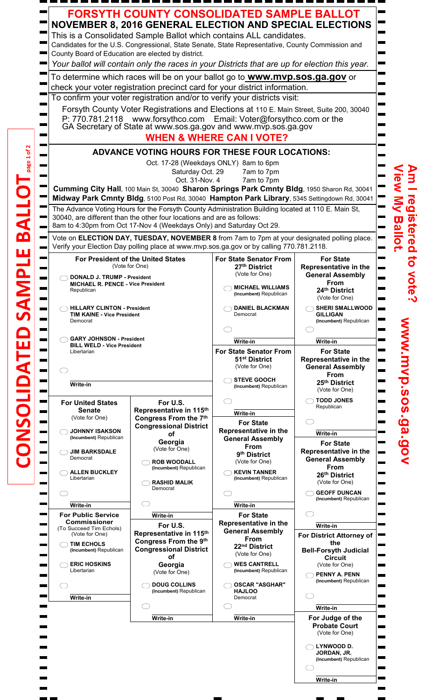|  | <b>FORSYTH COUNTY CONSOLIDATED SAMPLE BALLOT</b><br><b>NOVEMBER 8, 2016 GENERAL ELECTION AND SPECIAL ELECTIONS</b><br>This is a Consolidated Sample Ballot which contains ALL candidates.<br>Candidates for the U.S. Congressional, State Senate, State Representative, County Commission and<br>County Board of Education are elected by district.<br>Your ballot will contain only the races in your Districts that are up for election this year.<br>To determine which races will be on your ballot go to <b>www.mvp.sos.ga.gov</b> or<br>check your voter registration precinct card for your district information.<br>To confirm your voter registration and/or to verify your districts visit:<br>Forsyth County Voter Registrations and Elections at 110 E. Main Street, Suite 200, 30040<br>P: 770.781.2118 www.forsythco.com Email: Voter@forsythco.com or the GA Secretary of State at www.sos.ga.gov and www.mvp.sos.ga.gov<br><b>WHEN &amp; WHERE CAN I VOTE?</b><br><b>ADVANCE VOTING HOURS FOR THESE FOUR LOCATIONS:</b><br>Oct. 17-28 (Weekdays ONLY) 8am to 6pm<br>Saturday Oct. 29<br>7am to 7pm<br>Oct. 31-Nov. 4<br>7am to 7pm<br>Cumming City Hall, 100 Main St, 30040 Sharon Springs Park Cmnty Bldg, 1950 Sharon Rd, 30041<br>Midway Park Cmnty Bldg, 5100 Post Rd, 30040 Hampton Park Library, 5345 Settingdown Rd, 30041<br>The Advance Voting Hours for the Forsyth County Administration Building located at 110 E. Main St, |                                                                                                           |                                                                                                      |                                                                                                                   |                     |  |  |
|--|---------------------------------------------------------------------------------------------------------------------------------------------------------------------------------------------------------------------------------------------------------------------------------------------------------------------------------------------------------------------------------------------------------------------------------------------------------------------------------------------------------------------------------------------------------------------------------------------------------------------------------------------------------------------------------------------------------------------------------------------------------------------------------------------------------------------------------------------------------------------------------------------------------------------------------------------------------------------------------------------------------------------------------------------------------------------------------------------------------------------------------------------------------------------------------------------------------------------------------------------------------------------------------------------------------------------------------------------------------------------------------------------------------------------------------------------------------|-----------------------------------------------------------------------------------------------------------|------------------------------------------------------------------------------------------------------|-------------------------------------------------------------------------------------------------------------------|---------------------|--|--|
|  | 30040, are different than the other four locations and are as follows:<br>8am to 4:30pm from Oct 17-Nov 4 (Weekdays Only) and Saturday Oct 29.<br>Vote on ELECTION DAY, TUESDAY, NOVEMBER 8 from 7am to 7pm at your designated polling place.<br>Verify your Election Day polling place at www.mvp.sos.ga.gov or by calling 770.781.2118.                                                                                                                                                                                                                                                                                                                                                                                                                                                                                                                                                                                                                                                                                                                                                                                                                                                                                                                                                                                                                                                                                                               |                                                                                                           |                                                                                                      |                                                                                                                   |                     |  |  |
|  | <b>For President of the United States</b><br>(Vote for One)                                                                                                                                                                                                                                                                                                                                                                                                                                                                                                                                                                                                                                                                                                                                                                                                                                                                                                                                                                                                                                                                                                                                                                                                                                                                                                                                                                                             |                                                                                                           | <b>For State Senator From</b><br>27th District<br>(Vote for One)                                     | <b>For State</b><br>Representative in the                                                                         | <b>istered</b><br>ទ |  |  |
|  | <b>DONALD J. TRUMP - President</b><br><b>MICHAEL R. PENCE - Vice President</b><br>Republican                                                                                                                                                                                                                                                                                                                                                                                                                                                                                                                                                                                                                                                                                                                                                                                                                                                                                                                                                                                                                                                                                                                                                                                                                                                                                                                                                            |                                                                                                           | <b>MICHAEL WILLIAMS</b><br>(Incumbent) Republican                                                    | <b>General Assembly</b><br>From<br>24th District<br>(Vote for One)                                                | Note                |  |  |
|  | <b>HILLARY CLINTON - President</b><br><b>TIM KAINE - Vice President</b><br>Democrat                                                                                                                                                                                                                                                                                                                                                                                                                                                                                                                                                                                                                                                                                                                                                                                                                                                                                                                                                                                                                                                                                                                                                                                                                                                                                                                                                                     |                                                                                                           | <b>DANIEL BLACKMAN</b><br>Democrat                                                                   | <b>SHERI SMALLWOOD</b><br><b>GILLIGAN</b><br>(Incumbent) Republican                                               |                     |  |  |
|  | <b>GARY JOHNSON - President</b><br><b>BILL WELD - Vice President</b><br>Libertarian                                                                                                                                                                                                                                                                                                                                                                                                                                                                                                                                                                                                                                                                                                                                                                                                                                                                                                                                                                                                                                                                                                                                                                                                                                                                                                                                                                     |                                                                                                           | Write-in<br><b>For State Senator From</b>                                                            | Write-in<br><b>For State</b>                                                                                      |                     |  |  |
|  |                                                                                                                                                                                                                                                                                                                                                                                                                                                                                                                                                                                                                                                                                                                                                                                                                                                                                                                                                                                                                                                                                                                                                                                                                                                                                                                                                                                                                                                         |                                                                                                           | 51 <sup>st</sup> District<br>(Vote for One)<br><b>STEVE GOOCH</b>                                    | Representative in the<br><b>General Assembly</b><br>From                                                          |                     |  |  |
|  | Write-in                                                                                                                                                                                                                                                                                                                                                                                                                                                                                                                                                                                                                                                                                                                                                                                                                                                                                                                                                                                                                                                                                                                                                                                                                                                                                                                                                                                                                                                |                                                                                                           | (Incumbent) Republican                                                                               | 25th District<br>(Vote for One)                                                                                   |                     |  |  |
|  | <b>For United States</b><br><b>Senate</b><br>(Vote for One)<br><b>JOHNNY ISAKSON</b><br>(Incumbent) Republican                                                                                                                                                                                                                                                                                                                                                                                                                                                                                                                                                                                                                                                                                                                                                                                                                                                                                                                                                                                                                                                                                                                                                                                                                                                                                                                                          | For U.S.<br>Representative in 115th<br>Congress From the 7th<br><b>Congressional District</b><br>of       | Write-in<br><b>For State</b><br>Representative in the<br><b>General Assembly</b>                     | <b>TODD JONES</b><br>Republican<br>Write-in                                                                       | p.sos.ga.gov        |  |  |
|  | <b>JIM BARKSDALE</b><br>Democrat<br><b>ALLEN BUCKLEY</b><br>Libertarian                                                                                                                                                                                                                                                                                                                                                                                                                                                                                                                                                                                                                                                                                                                                                                                                                                                                                                                                                                                                                                                                                                                                                                                                                                                                                                                                                                                 | Georgia<br>(Vote for One)<br><b>ROB WOODALL</b><br>(Incumbent) Republican                                 | From<br>9 <sup>th</sup> District<br>(Vote for One)<br><b>KEVIN TANNER</b><br>(Incumbent) Republican  | <b>For State</b><br>Representative in the<br><b>General Assembly</b><br>From<br>26th District                     | and the             |  |  |
|  | Write-in                                                                                                                                                                                                                                                                                                                                                                                                                                                                                                                                                                                                                                                                                                                                                                                                                                                                                                                                                                                                                                                                                                                                                                                                                                                                                                                                                                                                                                                | <b>RASHID MALIK</b><br>Democrat                                                                           | Write-in                                                                                             | (Vote for One)<br><b>GEOFF DUNCAN</b><br>(Incumbent) Republican                                                   |                     |  |  |
|  | <b>For Public Service</b><br><b>Commissioner</b><br>(To Succeed Tim Echols)<br>(Vote for One)<br><b>TIM ECHOLS</b><br>(Incumbent) Republican                                                                                                                                                                                                                                                                                                                                                                                                                                                                                                                                                                                                                                                                                                                                                                                                                                                                                                                                                                                                                                                                                                                                                                                                                                                                                                            | Write-in<br>For U.S.<br>Representative in 115th<br>Congress From the 9th<br><b>Congressional District</b> | <b>For State</b><br>Representative in the<br><b>General Assembly</b><br><b>From</b><br>22nd District | Write-in<br>For District Attorney of<br>the<br><b>Bell-Forsyth Judicial</b>                                       |                     |  |  |
|  | <b>ERIC HOSKINS</b><br>Libertarian                                                                                                                                                                                                                                                                                                                                                                                                                                                                                                                                                                                                                                                                                                                                                                                                                                                                                                                                                                                                                                                                                                                                                                                                                                                                                                                                                                                                                      | of<br>Georgia<br>(Vote for One)<br><b>DOUG COLLINS</b>                                                    | (Vote for One)<br><b>WES CANTRELL</b><br>(Incumbent) Republican<br><b>OSCAR "ASGHAR"</b>             | <b>Circuit</b><br>(Vote for One)<br><b>PENNY A. PENN</b><br>(Incumbent) Republican                                | <b>STAR</b>         |  |  |
|  | Write-in                                                                                                                                                                                                                                                                                                                                                                                                                                                                                                                                                                                                                                                                                                                                                                                                                                                                                                                                                                                                                                                                                                                                                                                                                                                                                                                                                                                                                                                | (Incumbent) Republican                                                                                    | <b>HAJLOO</b><br>Democrat                                                                            | Write-in                                                                                                          |                     |  |  |
|  |                                                                                                                                                                                                                                                                                                                                                                                                                                                                                                                                                                                                                                                                                                                                                                                                                                                                                                                                                                                                                                                                                                                                                                                                                                                                                                                                                                                                                                                         | Write-in                                                                                                  | Write-in                                                                                             | For Judge of the<br><b>Probate Court</b><br>(Vote for One)<br>LYNWOOD D.<br>JORDAN, JR.<br>(Incumbent) Republican | <b>Contract</b>     |  |  |
|  |                                                                                                                                                                                                                                                                                                                                                                                                                                                                                                                                                                                                                                                                                                                                                                                                                                                                                                                                                                                                                                                                                                                                                                                                                                                                                                                                                                                                                                                         |                                                                                                           |                                                                                                      | Write-in                                                                                                          |                     |  |  |

**CONSOLIDATED SAMPLE BALLOT**